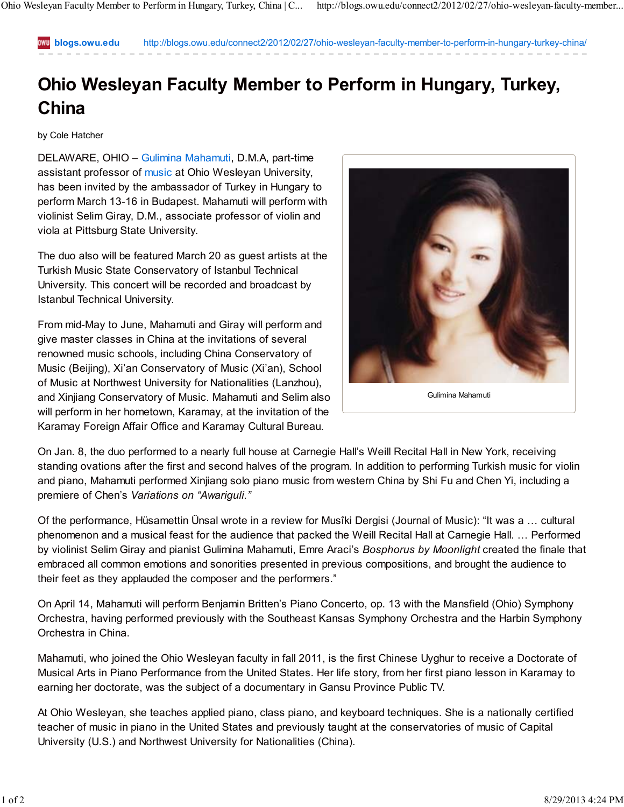**blogs.owu.edu** http://blogs.owu.edu/connect2/2012/02/27/ohio-wesleyan-faculty-member-to-perform-in-hungary-turkey-china/

## **Ohio Wesleyan Faculty Member to Perform in Hungary, Turkey, China**

by Cole Hatcher

DELAWARE, OHIO – Gulimina Mahamuti, D.M.A, part-time assistant professor of music at Ohio Wesleyan University, has been invited by the ambassador of Turkey in Hungary to perform March 13-16 in Budapest. Mahamuti will perform with violinist Selim Giray, D.M., associate professor of violin and viola at Pittsburg State University.

The duo also will be featured March 20 as guest artists at the Turkish Music State Conservatory of Istanbul Technical University. This concert will be recorded and broadcast by Istanbul Technical University.

From mid-May to June, Mahamuti and Giray will perform and give master classes in China at the invitations of several renowned music schools, including China Conservatory of Music (Beijing), Xi'an Conservatory of Music (Xi'an), School of Music at Northwest University for Nationalities (Lanzhou), and Xinjiang Conservatory of Music. Mahamuti and Selim also will perform in her hometown, Karamay, at the invitation of the Karamay Foreign Affair Office and Karamay Cultural Bureau.



On Jan. 8, the duo performed to a nearly full house at Carnegie Hall's Weill Recital Hall in New York, receiving standing ovations after the first and second halves of the program. In addition to performing Turkish music for violin and piano, Mahamuti performed Xinjiang solo piano music from western China by Shi Fu and Chen Yi, including a premiere of Chen's *Variations on "Awariguli."*

Of the performance, Hüsamettin Ünsal wrote in a review for Musîki Dergisi (Journal of Music): "It was a … cultural phenomenon and a musical feast for the audience that packed the Weill Recital Hall at Carnegie Hall. … Performed by violinist Selim Giray and pianist Gulimina Mahamuti, Emre Araci's *Bosphorus by Moonlight* created the finale that embraced all common emotions and sonorities presented in previous compositions, and brought the audience to their feet as they applauded the composer and the performers."

On April 14, Mahamuti will perform Benjamin Britten's Piano Concerto, op. 13 with the Mansfield (Ohio) Symphony Orchestra, having performed previously with the Southeast Kansas Symphony Orchestra and the Harbin Symphony Orchestra in China.

Mahamuti, who joined the Ohio Wesleyan faculty in fall 2011, is the first Chinese Uyghur to receive a Doctorate of Musical Arts in Piano Performance from the United States. Her life story, from her first piano lesson in Karamay to earning her doctorate, was the subject of a documentary in Gansu Province Public TV.

At Ohio Wesleyan, she teaches applied piano, class piano, and keyboard techniques. She is a nationally certified teacher of music in piano in the United States and previously taught at the conservatories of music of Capital University (U.S.) and Northwest University for Nationalities (China).